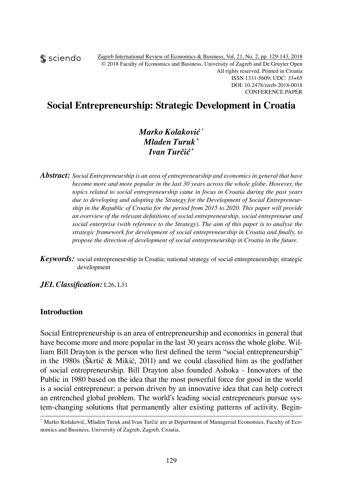sciendo

## **Social Entrepreneurship: Strategic Development in Croatia**

### *Marko Kolaković* \* *Mladen Turuk \* Ivan Turčić \**

*Abstract: Social Entrepreneurship is an area of entrepreneurship and economics in general that have become more and more popular in the last 30 years across the whole globe. However, the topics related to social entrepreneurship came in focus in Croatia during the past years due to developing and adopting the Strategy for the Development of Social Entrepreneurship in the Republic of Croatia for the period from 2015 to 2020. This paper will provide an overview of the relevant definitions of social entrepreneurship, social entrepreneur and social enterprise (with reference to the Strategy). The aim of this paper is to analyse the strategic framework for development of social entrepreneurship in Croatia and finally, to propose the direction of development of social entrepreneurship in Croatia in the future.*

*Keywords:* social entrepreneurship in Croatia; national strategy of social entrepreneurship; strategic development

*JEL Classification:* L26, L31

#### **Introduction**

Social Entrepreneurship is an area of entrepreneurship and economics in general that have become more and more popular in the last 30 years across the whole globe. William Bill Drayton is the person who first defined the term "social entrepreneurship" in the 1980s (Škrtić & Mikić, 2011) and we could classified him as the godfather of social entrepreneurship. Bill Drayton also founded Ashoka - Innovators of the Public in 1980 based on the idea that the most powerful force for good in the world is a social entrepreneur: a person driven by an innovative idea that can help correct an entrenched global problem. The world's leading social entrepreneurs pursue system-changing solutions that permanently alter existing patterns of activity. Begin-

<sup>\*</sup> Marko Kolaković, Mladen Turuk and Ivan Turčić are at Department of Managerial Economics, Faculty of Economics and Business, University of Zagreb, Zagreb, Croatia.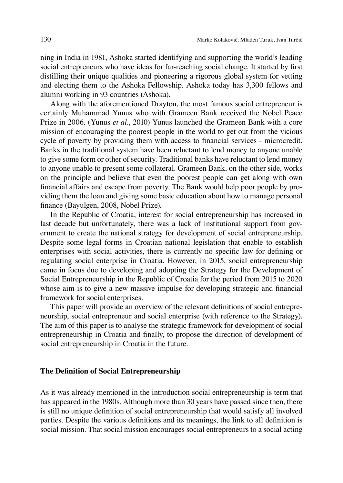ning in India in 1981, Ashoka started identifying and supporting the world's leading social entrepreneurs who have ideas for far-reaching social change. It started by first distilling their unique qualities and pioneering a rigorous global system for vetting and electing them to the Ashoka Fellowship. Ashoka today has 3,300 fellows and alumni working in 93 countries (Ashoka).

Along with the aforementioned Drayton, the most famous social entrepreneur is certainly Muhammad Yunus who with Grameen Bank received the Nobel Peace Prize in 2006. (Yunus *et al*., 2010) Yunus launched the Grameen Bank with a core mission of encouraging the poorest people in the world to get out from the vicious cycle of poverty by providing them with access to financial services - microcredit. Banks in the traditional system have been reluctant to lend money to anyone unable to give some form or other of security. Traditional banks have reluctant to lend money to anyone unable to present some collateral. Grameen Bank, on the other side, works on the principle and believe that even the poorest people can get along with own financial affairs and escape from poverty. The Bank would help poor people by providing them the loan and giving some basic education about how to manage personal finance (Bayulgen, 2008, Nobel Prize).

In the Republic of Croatia, interest for social entrepreneurship has increased in last decade but unfortunately, there was a lack of institutional support from government to create the national strategy for development of social entrepreneurship. Despite some legal forms in Croatian national legislation that enable to establish enterprises with social activities, there is currently no specific law for defining or regulating social enterprise in Croatia. However, in 2015, social entrepreneurship came in focus due to developing and adopting the Strategy for the Development of Social Entrepreneurship in the Republic of Croatia for the period from 2015 to 2020 whose aim is to give a new massive impulse for developing strategic and financial framework for social enterprises.

This paper will provide an overview of the relevant definitions of social entrepreneurship, social entrepreneur and social enterprise (with reference to the Strategy). The aim of this paper is to analyse the strategic framework for development of social entrepreneurship in Croatia and finally, to propose the direction of development of social entrepreneurship in Croatia in the future.

#### **The Definition of Social Entrepreneurship**

As it was already mentioned in the introduction social entrepreneurship is term that has appeared in the 1980s. Although more than 30 years have passed since then, there is still no unique definition of social entrepreneurship that would satisfy all involved parties. Despite the various definitions and its meanings, the link to all definition is social mission. That social mission encourages social entrepreneurs to a social acting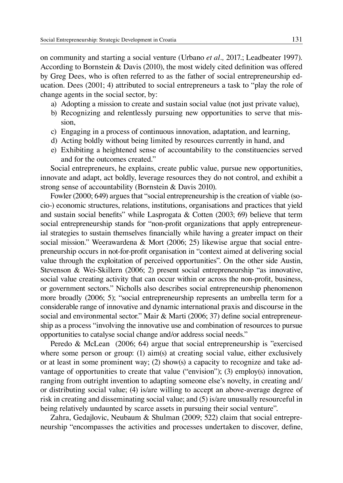on community and starting a social venture (Urbano *et al.,* 2017.; Leadbeater 1997). According to Bornstein & Davis (2010), the most widely cited definition was offered by Greg Dees, who is often referred to as the father of social entrepreneurship education. Dees (2001; 4) attributed to social entrepreneurs a task to "play the role of change agents in the social sector, by:

- a) Adopting a mission to create and sustain social value (not just private value),
- b) Recognizing and relentlessly pursuing new opportunities to serve that mission,
- c) Engaging in a process of continuous innovation, adaptation, and learning,
- d) Acting boldly without being limited by resources currently in hand, and
- e) Exhibiting a heightened sense of accountability to the constituencies served and for the outcomes created."

Social entrepreneurs, he explains, create public value, pursue new opportunities, innovate and adapt, act boldly, leverage resources they do not control, and exhibit a strong sense of accountability (Bornstein & Davis 2010).

Fowler (2000; 649) argues that "social entrepreneurship is the creation of viable (socio-) economic structures, relations, institutions, organisations and practices that yield and sustain social benefits" while Lasprogata  $\&$  Cotten (2003; 69) believe that term social entrepreneurship stands for "non-profit organizations that apply entrepreneurial strategies to sustain themselves financially while having a greater impact on their social mission." Weerawardena & Mort (2006; 25) likewise argue that social entrepreneurship occurs in not-for-profit organisation in "context aimed at delivering social value through the exploitation of perceived opportunities". On the other side Austin, Stevenson & Wei-Skillern (2006; 2) present social entrepreneurship "as innovative, social value creating activity that can occur within or across the non-profit, business, or government sectors." Nicholls also describes social entrepreneurship phenomenon more broadly (2006; 5); "social entrepreneurship represents an umbrella term for a considerable range of innovative and dynamic international praxis and discourse in the social and environmental sector." Mair & Marti (2006; 37) define social entrepreneurship as a process "involving the innovative use and combination of resources to pursue opportunities to catalyse social change and/or address social needs."

Peredo & McLean (2006; 64) argue that social entrepreneurship is "exercised where some person or group: (1) aim(s) at creating social value, either exclusively or at least in some prominent way; (2) show(s) a capacity to recognize and take advantage of opportunities to create that value ("envision"); (3) employ(s) innovation, ranging from outright invention to adapting someone else's novelty, in creating and/ or distributing social value; (4) is/are willing to accept an above-average degree of risk in creating and disseminating social value; and (5) is/are unusually resourceful in being relatively undaunted by scarce assets in pursuing their social venture".

Zahra, Gedajlovic, Neubaum & Shulman (2009; 522) claim that social entrepreneurship "encompasses the activities and processes undertaken to discover, define,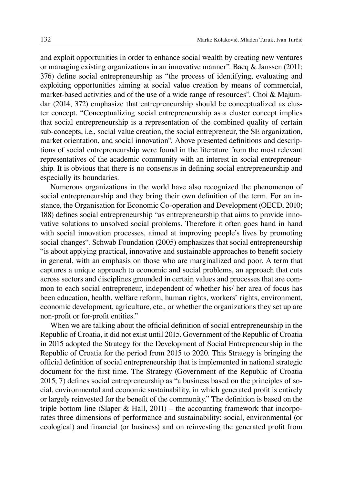and exploit opportunities in order to enhance social wealth by creating new ventures or managing existing organizations in an innovative manner". Bacq  $\&$  Janssen (2011; 376) define social entrepreneurship as "the process of identifying, evaluating and exploiting opportunities aiming at social value creation by means of commercial, market-based activities and of the use of a wide range of resources". Choi & Majumdar (2014; 372) emphasize that entrepreneurship should be conceptualized as cluster concept. "Conceptualizing social entrepreneurship as a cluster concept implies that social entrepreneurship is a representation of the combined quality of certain sub-concepts, i.e., social value creation, the social entrepreneur, the SE organization, market orientation, and social innovation". Above presented definitions and descriptions of social entrepreneurship were found in the literature from the most relevant representatives of the academic community with an interest in social entrepreneurship. It is obvious that there is no consensus in defining social entrepreneurship and especially its boundaries.

Numerous organizations in the world have also recognized the phenomenon of social entrepreneurship and they bring their own definition of the term. For an instance, the Organisation for Economic Co-operation and Development (OECD, 2010; 188) defines social entrepreneurship "as entrepreneurship that aims to provide innovative solutions to unsolved social problems. Therefore it often goes hand in hand with social innovation processes, aimed at improving people's lives by promoting social changes". Schwab Foundation (2005) emphasizes that social entrepreneurship "is about applying practical, innovative and sustainable approaches to benefit society in general, with an emphasis on those who are marginalized and poor. A term that captures a unique approach to economic and social problems, an approach that cuts across sectors and disciplines grounded in certain values and processes that are common to each social entrepreneur, independent of whether his/ her area of focus has been education, health, welfare reform, human rights, workers' rights, environment, economic development, agriculture, etc., or whether the organizations they set up are non-profit or for-profit entities."

When we are talking about the official definition of social entrepreneurship in the Republic of Croatia, it did not exist until 2015. Government of the Republic of Croatia in 2015 adopted the Strategy for the Development of Social Entrepreneurship in the Republic of Croatia for the period from 2015 to 2020. This Strategy is bringing the official definition of social entrepreneurship that is implemented in national strategic document for the first time. The Strategy (Government of the Republic of Croatia 2015; 7) defines social entrepreneurship as "a business based on the principles of social, environmental and economic sustainability, in which generated profit is entirely or largely reinvested for the benefit of the community." The definition is based on the triple bottom line (Slaper & Hall,  $2011$ ) – the accounting framework that incorporates three dimensions of performance and sustainability: social, environmental (or ecological) and financial (or business) and on reinvesting the generated profit from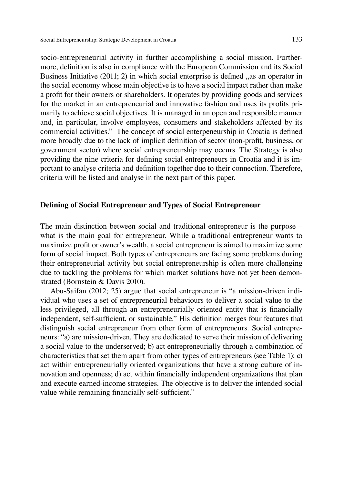socio-entrepreneurial activity in further accomplishing a social mission. Furthermore, definition is also in compliance with the European Commission and its Social Business Initiative  $(2011; 2)$  in which social enterprise is defined  $\alpha$  as an operator in the social economy whose main objective is to have a social impact rather than make a profit for their owners or shareholders. It operates by providing goods and services for the market in an entrepreneurial and innovative fashion and uses its profits primarily to achieve social objectives. It is managed in an open and responsible manner and, in particular, involve employees, consumers and stakeholders affected by its commercial activities." The concept of social enterpeneurship in Croatia is defined more broadly due to the lack of implicit definition of sector (non-profit, business, or government sector) where social entrepreneurship may occurs. The Strategy is also providing the nine criteria for defining social entrepreneurs in Croatia and it is important to analyse criteria and definition together due to their connection. Therefore, criteria will be listed and analyse in the next part of this paper.

#### **Defining of Social Entrepreneur and Types of Social Entrepreneur**

The main distinction between social and traditional entrepreneur is the purpose – what is the main goal for entrepreneur. While a traditional entrepreneur wants to maximize profit or owner's wealth, a social entrepreneur is aimed to maximize some form of social impact. Both types of entrepreneurs are facing some problems during their entrepreneurial activity but social entrepreneurship is often more challenging due to tackling the problems for which market solutions have not yet been demonstrated (Bornstein & Davis 2010).

Abu-Saifan (2012; 25) argue that social entrepreneur is "a mission-driven individual who uses a set of entrepreneurial behaviours to deliver a social value to the less privileged, all through an entrepreneurially oriented entity that is financially independent, self-sufficient, or sustainable." His definition merges four features that distinguish social entrepreneur from other form of entrepreneurs. Social entrepreneurs: "a) are mission-driven. They are dedicated to serve their mission of delivering a social value to the underserved; b) act entrepreneurially through a combination of characteristics that set them apart from other types of entrepreneurs (see Table 1); c) act within entrepreneurially oriented organizations that have a strong culture of innovation and openness; d) act within financially independent organizations that plan and execute earned-income strategies. The objective is to deliver the intended social value while remaining financially self-sufficient."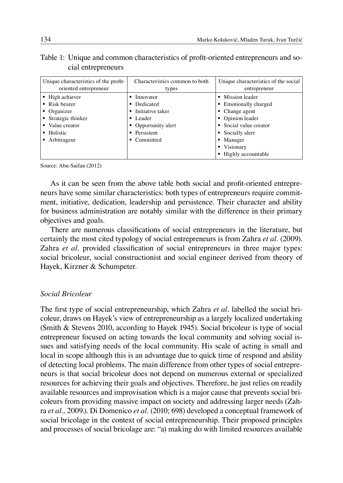| Table 1: Unique and common characteristics of profit-oriented entrepreneurs and so- |  |  |
|-------------------------------------------------------------------------------------|--|--|
| cial entrepreneurs                                                                  |  |  |

| Unique characteristics of the profit-<br>oriented entrepreneur | Characteristics common to both<br>types | Unique characteristics of the social<br>entrepreneur |  |
|----------------------------------------------------------------|-----------------------------------------|------------------------------------------------------|--|
| • High achiever                                                | $\blacksquare$ Innovator                | Mission leader                                       |  |
| $\blacksquare$ Risk bearer                                     | • Dedicated                             | • Emotionally charged                                |  |
| $\blacksquare$ Organizer                                       | • Initiative taker                      | • Change agent                                       |  |
| • Strategic thinker                                            | • Leader                                | • Opinion leader                                     |  |
| • Value creator                                                | • Opportunity alert                     | Social value creator                                 |  |
| • Holistic                                                     | • Persistent                            | • Socially alert                                     |  |
| • Arbitrageur                                                  | • Committed                             | • Manager                                            |  |
|                                                                |                                         | Visionary<br>٠                                       |  |
|                                                                |                                         | Highly accountable                                   |  |

Source: Abu-Saifan (2012)

As it can be seen from the above table both social and profit-oriented entrepreneurs have some similar characteristics: both types of entrepreneurs require commitment, initiative, dedication, leadership and persistence. Their character and ability for business administration are notably similar with the difference in their primary objectives and goals.

There are numerous classifications of social entrepreneurs in the literature, but certainly the most cited typology of social entrepreneurs is from Zahra *et al.* (2009). Zahra *et al.* provided classification of social entrepreneurs in three major types: social bricoleur, social constructionist and social engineer derived from theory of Hayek, Kirzner & Schumpeter.

#### *Social Bricoleur*

The first type of social entrepreneurship, which Zahra *et al.* labelled the social bricoleur, draws on Hayek's view of entrepreneurship as a largely localized undertaking (Smith & Stevens 2010, according to Hayek 1945). Social bricoleur is type of social entrepreneur focused on acting towards the local community and solving social issues and satisfying needs of the local community. His scale of acting is small and local in scope although this is an advantage due to quick time of respond and ability of detecting local problems. The main difference from other types of social entrepreneurs is that social bricoleur does not depend on numerous external or specialized resources for achieving their goals and objectives. Therefore, he just relies on readily available resources and improvisation which is a major cause that prevents social bricoleurs from providing massive impact on society and addressing larger needs (Zahra *et al.,* 2009.). Di Domenico *et al.* (2010; 698) developed a conceptual framework of social bricolage in the context of social entrepreneurship. Their proposed principles and processes of social bricolage are: "a) making do with limited resources available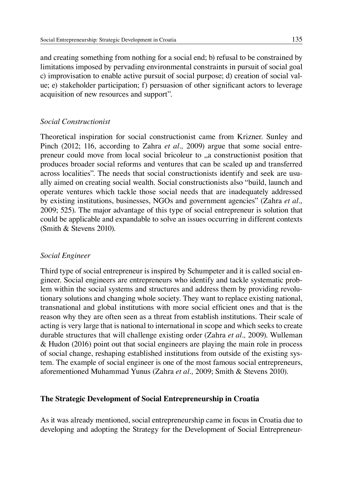and creating something from nothing for a social end; b) refusal to be constrained by limitations imposed by pervading environmental constraints in pursuit of social goal c) improvisation to enable active pursuit of social purpose; d) creation of social value; e) stakeholder participation; f) persuasion of other significant actors to leverage acquisition of new resources and support".

#### *Social Constructionist*

Theoretical inspiration for social constructionist came from Krizner. Sunley and Pinch (2012; 116, according to Zahra *et al.,* 2009) argue that some social entrepreneur could move from local social bricoleur to  $\alpha$ , a constructionist position that produces broader social reforms and ventures that can be scaled up and transferred across localities". The needs that social constructionists identify and seek are usually aimed on creating social wealth. Social constructionists also "build, launch and operate ventures which tackle those social needs that are inadequately addressed by existing institutions, businesses, NGOs and government agencies" (Zahra *et al.,* 2009; 525). The major advantage of this type of social entrepreneur is solution that could be applicable and expandable to solve an issues occurring in different contexts (Smith & Stevens 2010).

#### *Social Engineer*

Third type of social entrepreneur is inspired by Schumpeter and it is called social engineer. Social engineers are entrepreneurs who identify and tackle systematic problem within the social systems and structures and address them by providing revolutionary solutions and changing whole society. They want to replace existing national, transnational and global institutions with more social efficient ones and that is the reason why they are often seen as a threat from establish institutions. Their scale of acting is very large that is national to international in scope and which seeks to create durable structures that will challenge existing order (Zahra *et al.,* 2009). Wulleman & Hudon (2016) point out that social engineers are playing the main role in process of social change, reshaping established institutions from outside of the existing system. The example of social engineer is one of the most famous social entrepreneurs, aforementioned Muhammad Yunus (Zahra *et al.,* 2009; Smith & Stevens 2010).

#### **The Strategic Development of Social Entrepreneurship in Croatia**

As it was already mentioned, social entrepreneurship came in focus in Croatia due to developing and adopting the Strategy for the Development of Social Entrepreneur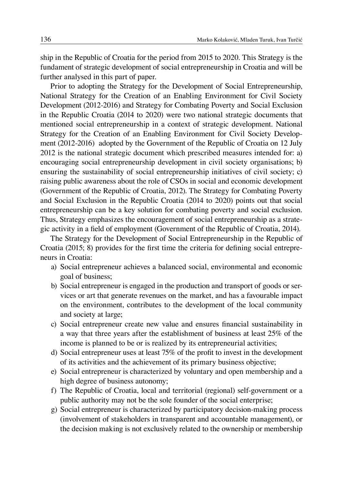ship in the Republic of Croatia for the period from 2015 to 2020. This Strategy is the fundament of strategic development of social entrepreneurship in Croatia and will be further analysed in this part of paper.

Prior to adopting the Strategy for the Development of Social Entrepreneurship, National Strategy for the Creation of an Enabling Environment for Civil Society Development (2012-2016) and Strategy for Combating Poverty and Social Exclusion in the Republic Croatia (2014 to 2020) were two national strategic documents that mentioned social entrepreneurship in a context of strategic development. National Strategy for the Creation of an Enabling Environment for Civil Society Development (2012-2016) adopted by the Government of the Republic of Croatia on 12 July 2012 is the national strategic document which prescribed measures intended for: a) encouraging social entrepreneurship development in civil society organisations; b) ensuring the sustainability of social entrepreneurship initiatives of civil society; c) raising public awareness about the role of CSOs in social and economic development (Government of the Republic of Croatia, 2012). The Strategy for Combating Poverty and Social Exclusion in the Republic Croatia (2014 to 2020) points out that social entrepreneurship can be a key solution for combating poverty and social exclusion. Thus, Strategy emphasizes the encouragement of social entrepreneurship as a strategic activity in a field of employment (Government of the Republic of Croatia, 2014).

The Strategy for the Development of Social Entrepreneurship in the Republic of Croatia (2015; 8) provides for the first time the criteria for defining social entrepreneurs in Croatia:

- a) Social entrepreneur achieves a balanced social, environmental and economic goal of business;
- b) Social entrepreneur is engaged in the production and transport of goods or services or art that generate revenues on the market, and has a favourable impact on the environment, contributes to the development of the local community and society at large;
- c) Social entrepreneur create new value and ensures financial sustainability in a way that three years after the establishment of business at least 25% of the income is planned to be or is realized by its entrepreneurial activities;
- d) Social entrepreneur uses at least 75% of the profit to invest in the development of its activities and the achievement of its primary business objective;
- e) Social entrepreneur is characterized by voluntary and open membership and a high degree of business autonomy;
- f) The Republic of Croatia, local and territorial (regional) self-government or a public authority may not be the sole founder of the social enterprise;
- g) Social entrepreneur is characterized by participatory decision-making process (involvement of stakeholders in transparent and accountable management), or the decision making is not exclusively related to the ownership or membership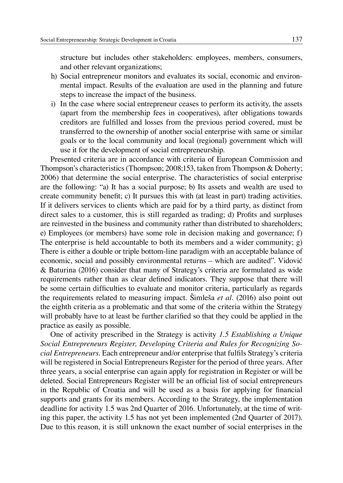structure but includes other stakeholders: employees, members, consumers, and other relevant organizations;

- h) Social entrepreneur monitors and evaluates its social, economic and environmental impact. Results of the evaluation are used in the planning and future steps to increase the impact of the business.
- i) In the case where social entrepreneur ceases to perform its activity, the assets (apart from the membership fees in cooperatives), after obligations towards creditors are fulfilled and losses from the previous period covered, must be transferred to the ownership of another social enterprise with same or similar goals or to the local community and local (regional) government which will use it for the development of social entrepreneurship.

Presented criteria are in accordance with criteria of European Commission and Thompson's characteristics (Thompson; 2008;153, taken from Thompson & Doherty; 2006) that determine the social enterprise. The characteristics of social enterprise are the following: "a) It has a social purpose; b) Its assets and wealth are used to create community benefit; c) It pursues this with (at least in part) trading activities. If it delivers services to clients which are paid for by a third party, as distinct from direct sales to a customer, this is still regarded as trading; d) Profits and surpluses are reinvested in the business and community rather than distributed to shareholders; e) Employees (or members) have some role in decision making and governance; f) The enterprise is held accountable to both its members and a wider community; g) There is either a double or triple bottom-line paradigm with an acceptable balance of economic, social and possibly environmental returns – which are audited". Vidović & Baturina (2016) consider that many of Strategy's criteria are formulated as wide requirements rather than as clear defined indicators. They suppose that there will be some certain difficulties to evaluate and monitor criteria, particularly as regards the requirements related to measuring impact. Šimleša *et al.* (2016) also point out the eighth criteria as a problematic and that some of the criteria within the Strategy will probably have to at least be further clarified so that they could be applied in the practice as easily as possible.

One of activity prescribed in the Strategy is activity *1.5 Establishing a Unique Social Entrepreneurs Register, Developing Criteria and Rules for Recognizing Social Entrepreneurs*. Each entrepreneur and/or enterprise that fulfils Strategy's criteria will be registered in Social Entrepreneurs Register for the period of three years. After three years, a social enterprise can again apply for registration in Register or will be deleted. Social Entrepreneurs Register will be an official list of social entrepreneurs in the Republic of Croatia and will be used as a basis for applying for financial supports and grants for its members. According to the Strategy, the implementation deadline for activity 1.5 was 2nd Quarter of 2016. Unfortunately, at the time of writing this paper, the activity 1.5 has not yet been implemented (2nd Quarter of 2017). Due to this reason, it is still unknown the exact number of social enterprises in the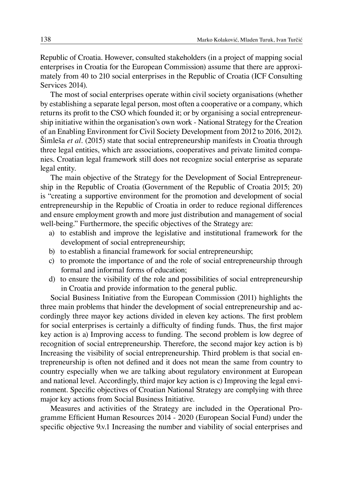Republic of Croatia. However, consulted stakeholders (in a project of mapping social enterprises in Croatia for the European Commission) assume that there are approximately from 40 to 210 social enterprises in the Republic of Croatia (ICF Consulting Services 2014).

The most of social enterprises operate within civil society organisations (whether by establishing a separate legal person, most often a cooperative or a company, which returns its profit to the CSO which founded it; or by organising a social entrepreneurship initiative within the organisation's own work - National Strategy for the Creation of an Enabling Environment for Civil Society Development from 2012 to 2016, 2012). Šimleša *et al.* (2015) state that social entrepreneurship manifests in Croatia through three legal entities, which are associations, cooperatives and private limited companies. Croatian legal framework still does not recognize social enterprise as separate legal entity.

The main objective of the Strategy for the Development of Social Entrepreneurship in the Republic of Croatia (Government of the Republic of Croatia 2015; 20) is "creating a supportive environment for the promotion and development of social entrepreneurship in the Republic of Croatia in order to reduce regional differences and ensure employment growth and more just distribution and management of social well-being." Furthermore, the specific objectives of the Strategy are:

- a) to establish and improve the legislative and institutional framework for the development of social entrepreneurship;
- b) to establish a financial framework for social entrepreneurship;
- c) to promote the importance of and the role of social entrepreneurship through formal and informal forms of education;
- d) to ensure the visibility of the role and possibilities of social entrepreneurship in Croatia and provide information to the general public.

Social Business Initiative from the European Commission (2011) highlights the three main problems that hinder the development of social entrepreneurship and accordingly three mayor key actions divided in eleven key actions. The first problem for social enterprises is certainly a difficulty of finding funds. Thus, the first major key action is a) Improving access to funding. The second problem is low degree of recognition of social entrepreneurship. Therefore, the second major key action is b) Increasing the visibility of social entrepreneurship. Third problem is that social entrepreneurship is often not defined and it does not mean the same from country to country especially when we are talking about regulatory environment at European and national level. Accordingly, third major key action is c) Improving the legal environment. Specific objectives of Croatian National Strategy are complying with three major key actions from Social Business Initiative.

Measures and activities of the Strategy are included in the Operational Programme Efficient Human Resources 2014 - 2020 (European Social Fund) under the specific objective 9.v.1 Increasing the number and viability of social enterprises and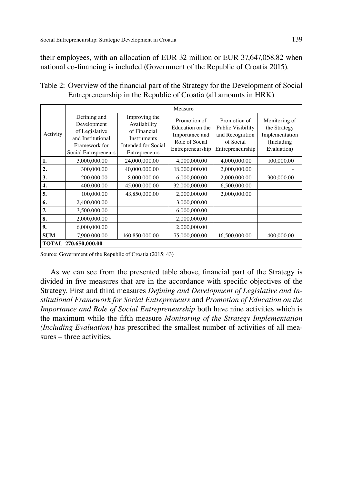their employees, with an allocation of EUR 32 million or EUR 37,647,058.82 when national co-financing is included (Government of the Republic of Croatia 2015).

Table 2: Overview of the financial part of the Strategy for the Development of Social Entrepreneurship in the Republic of Croatia (all amounts in HRK)

|                      | Measure                                                                                                     |                                                                                                      |                                                                                          |                                                                                       |                                                                               |  |  |  |
|----------------------|-------------------------------------------------------------------------------------------------------------|------------------------------------------------------------------------------------------------------|------------------------------------------------------------------------------------------|---------------------------------------------------------------------------------------|-------------------------------------------------------------------------------|--|--|--|
| Activity             | Defining and<br>Development<br>of Legislative<br>and Institutional<br>Framework for<br>Social Entrepreneurs | Improving the<br>Availability<br>of Financial<br>Instruments<br>Intended for Social<br>Entrepreneurs | Promotion of<br>Education on the<br>Importance and<br>Role of Social<br>Entrepreneurship | Promotion of<br>Public Visibility<br>and Recognition<br>of Social<br>Entrepreneurship | Monitoring of<br>the Strategy<br>Implementation<br>(Including)<br>Evaluation) |  |  |  |
| 1.                   | 3,000,000.00                                                                                                | 24,000,000.00                                                                                        | 4,000,000.00                                                                             | 4,000,000.00                                                                          | 100,000.00                                                                    |  |  |  |
| 2.                   | 300,000.00                                                                                                  | 40,000,000.00                                                                                        | 18,000,000.00                                                                            | 2,000,000.00                                                                          |                                                                               |  |  |  |
| 3.                   | 200,000.00                                                                                                  | 8,000,000.00                                                                                         | 6,000,000.00                                                                             | 2,000,000.00                                                                          | 300,000.00                                                                    |  |  |  |
| 4.                   | 400,000.00                                                                                                  | 45,000,000.00                                                                                        | 32,000,000.00                                                                            | 6,500,000.00                                                                          |                                                                               |  |  |  |
| 5.                   | 100,000.00                                                                                                  | 43,850,000.00                                                                                        | 2,000,000.00                                                                             | 2,000,000.00                                                                          |                                                                               |  |  |  |
| 6.                   | 2,400,000.00                                                                                                |                                                                                                      | 3,000,000.00                                                                             |                                                                                       |                                                                               |  |  |  |
| 7.                   | 3,500,000.00                                                                                                |                                                                                                      | 6,000,000.00                                                                             |                                                                                       |                                                                               |  |  |  |
| 8.                   | 2,000,000.00                                                                                                |                                                                                                      | 2,000,000.00                                                                             |                                                                                       |                                                                               |  |  |  |
| 9.                   | 6,000,000.00                                                                                                |                                                                                                      | 2,000,000.00                                                                             |                                                                                       |                                                                               |  |  |  |
| <b>SUM</b>           | 7,900,000.00                                                                                                | 160,850,000.00                                                                                       | 75,000,000.00                                                                            | 16,500,000.00                                                                         | 400,000.00                                                                    |  |  |  |
| TOTAL 270,650,000.00 |                                                                                                             |                                                                                                      |                                                                                          |                                                                                       |                                                                               |  |  |  |

Source: Government of the Republic of Croatia (2015; 43)

As we can see from the presented table above, financial part of the Strategy is divided in five measures that are in the accordance with specific objectives of the Strategy. First and third measures *Defining and Development of Legislative and Institutional Framework for Social Entrepreneurs* and *Promotion of Education on the Importance and Role of Social Entrepreneurship* both have nine activities which is the maximum while the fifth measure *Monitoring of the Strategy Implementation (Including Evaluation)* has prescribed the smallest number of activities of all measures – three activities.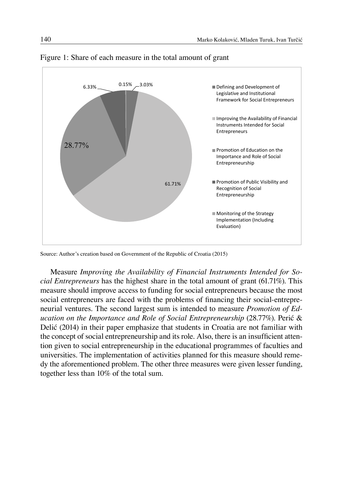

# Figure 1: Share of each measure in the total amount of grant Figure 1: Share of each measure in the total amount of grant

Source: Author's creation based on Government of the Republic of Croatia (2015) Source: Author's creation based on Government of the Republic of Croatia (2015)

Measure *Improving the Availability of Financial Instruments Intended for Social Entrepreneurs* has the highest share in the total amount of grant (61.71%). This measure should improve access to funding for social entrepreneurs because the most social entrepreneurs are faced with the problems of financing their social-entrepreneurial ventures. The second largest sum is intended to measure *Promotion of Ed*neurial ventures. The second largest sum is intended to measure *Promotion of Education on the Importance and Role of Social Entrepreneurship (28.77%)*. Perić & Delić (2014) in their paper emphasize that students in Croatia are not familiar with the concept of social entrepreneurship and its role. Also, there is an insufficient attention given to social entrepreneurship in the educational programmes of faculties and universities. The implementation of activities planned for this measure should remedy the aforementioned problem. The other three measures were given lesser funding, together less than 10% of the total sum.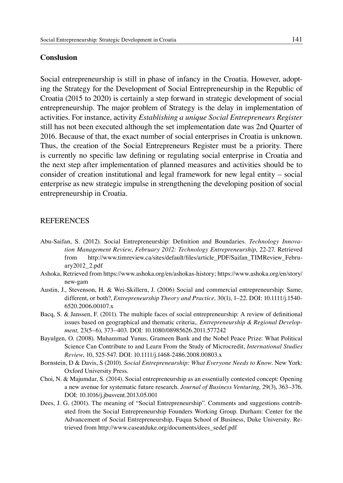#### **Conslusion**

Social entrepreneurship is still in phase of infancy in the Croatia. However, adopting the Strategy for the Development of Social Entrepreneurship in the Republic of Croatia (2015 to 2020) is certainly a step forward in strategic development of social entrepreneurship. The major problem of Strategy is the delay in implementation of activities. For instance, activity *Establishing a unique Social Entrepreneurs Register* still has not been executed although the set implementation date was 2nd Quarter of 2016. Because of that, the exact number of social enterprises in Croatia is unknown. Thus, the creation of the Social Entrepreneurs Register must be a priority. There is currently no specific law defining or regulating social enterprise in Croatia and the next step after implementation of planned measures and activities should be to consider of creation institutional and legal framework for new legal entity – social enterprise as new strategic impulse in strengthening the developing position of social entrepreneurship in Croatia.

#### **REFERENCES**

- Abu-Saifan, S. (2012). Social Entrepreneurship: Definition and Boundaries. *Technology Innovation Management Review*, *February 2012: Technology Entrepreneurship*, 22-27. Retrieved from http://www.timreview.ca/sites/default/files/article\_PDF/Saifan\_TIMReview\_February2012\_2.pdf
- Ashoka, Retrieved from https://www.ashoka.org/en/ashokas-history; https://www.ashoka.org/en/story/ new-gam
- Austin, J., Stevenson, H. & Wei-Skillern, J. (2006) Social and commercial entrepreneurship: Same, different, or both?, *Entrepreneurship Theory and Practice,* 30(1), 1–22. DOI: 10.1111/j.1540- 6520.2006.00107.x
- Bacq, S. & Janssen, F. (2011). The multiple faces of social entrepreneurship: A review of definitional issues based on geographical and thematic criteria,. *Entrepreneurship & Regional Development,* 23(5–6), 373–403. DOI: 10.1080/08985626.2011.577242
- Bayulgen, O. (2008). Muhammad Yunus, Grameen Bank and the Nobel Peace Prize: What Political Science Can Contribute to and Learn From the Study of Microcredit, *International Studies Review*, 10, 525-547. DOI: 10.1111/j.1468-2486.2008.00803.x
- Bornstein, D & Davis, S (2010). *Social Entrepreneurship: What Everyone Needs to Know*. New York: Oxford University Press.
- Choi, N. & Majumdar, S. (2014). Social entrepreneurship as an essentially contested concept: Opening a new avenue for systematic future research. *Journal of Business Venturing*, 29(3), 363–376. DOI: 10.1016/j.jbusvent.2013.05.001
- Dees, J. G. (2001). The meaning of "Social Entrepreneurship". Comments and suggestions contributed from the Social Entrepreneurship Founders Working Group. Durham: Center for the Advancement of Social Entrepreneurship, Fuqua School of Business, Duke University. Retrieved from http://www.caseatduke.org/documents/dees\_sedef.pdf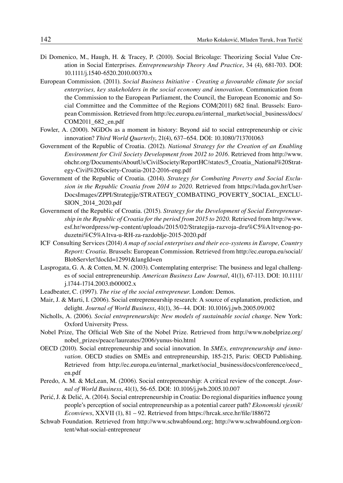- Di Domenico, M., Haugh, H. & Tracey, P. (2010). Social Bricolage: Theorizing Social Value Creation in Social Enterprises. *Entrepreneurship Theory And Practice*, 34 (4), 681-703. DOI: 10.1111/j.1540-6520.2010.00370.x
- European Commission. (2011). *Social Business Initiative Creating a favourable climate for social enterprises, key stakeholders in the social economy and innovation*. Communication from the Commission to the European Parliament, the Council, the European Economic and Social Committee and the Committee of the Regions COM(2011) 682 final. Brussels: European Commission. Retrieved from http://ec.europa.eu/internal\_market/social\_business/docs/ COM2011\_682\_en.pdf
- Fowler, A. (2000). NGDOs as a moment in history: Beyond aid to social entrepreneurship or civic innovation? *Third World Quarterly*, 21(4), 637–654. DOI: 10.1080/713701063
- Government of the Republic of Croatia. (2012). *National Strategy for the Creation of an Enabling Environment for Civil Society Development from 2012 to 2016*. Retrieved from http://www. ohchr.org/Documents/AboutUs/CivilSociety/ReportHC/states/5\_Croatia\_National%20Strategy-Civil%20Society-Croatia-2012-2016-eng.pdf
- Government of the Republic of Croatia. (2014). *Strategy for Combating Poverty and Social Exclusion in the Republic Croatia from 2014 to 2020.* Retrieved from https://vlada.gov.hr/User-DocsImages/ZPPI/Strategije/STRATEGY\_COMBATING\_POVERTY\_SOCIAL\_EXCLU-SION\_2014\_2020.pdf
- Government of the Republic of Croatia. (2015). *Strategy for the Development of Social Entrepreneurship in the Republic of Croatia for the period from 2015 to 2020*. Retrieved from http://www. esf.hr/wordpress/wp-content/uploads/2015/02/Strategija-razvoja-dru%C5%A1tvenog-poduzetni%C5%A1tva-u-RH-za-razdoblje-2015-2020.pdf
- ICF Consulting Services (2014) *A map of social enterprises and their eco-systems in Europe, Country Report: Croatia*. Brussels: European Commission. Retrieved from http://ec.europa.eu/social/ BlobServlet?docId=12991&langId=en
- Lasprogata, G. A. & Cotten, M. N. (2003). Contemplating enterprise: The business and legal challenges of social entrepreneurship. *American Business Law Journal*, 41(1), 67-113. DOI: 10.1111/ j.1744-1714.2003.tb00002.x
- Leadbeater, C. (1997). *The rise of the social entrepreneur*. London: Demos.
- Mair, J. & Marti, I. (2006). Social entrepreneurship research: A source of explanation, prediction, and delight. *Journal of World Business*, 41(1), 36–44. DOI: 10.1016/j.jwb.2005.09.002
- Nicholls, A. (2006). *Social entrepreneurship: New models of sustainable social change*. New York: Oxford University Press.
- Nobel Prize, The Official Web Site of the Nobel Prize. Retrieved from http://www.nobelprize.org/ nobel\_prizes/peace/laureates/2006/yunus-bio.html
- OECD (2010). Social entrepreneurship and social innovation. In *SMEs, entrepreneurship and innovation*. OECD studies on SMEs and entrepreneurship, 185-215, Paris: OECD Publishing. Retrieved from http://ec.europa.eu/internal\_market/social\_business/docs/conference/oecd\_ en.pdf
- Peredo, A. M. & McLean, M. (2006). Social entrepreneurship: A critical review of the concept. *Journal of World Business*, 41(1), 56-65. DOI: 10.1016/j.jwb.2005.10.007
- Perić, J. & Delić, A. (2014). Social entrepreneurship in Croatia: Do regional disparities influence young people's perception of social entrepreneurship as a potential career path? *Ekonomski vjesnik/ Econviews*, XXVII (1), 81 – 92. Retrieved from https://hrcak.srce.hr/file/188672
- Schwab Foundation. Retrieved from http://www.schwabfound.org; http://www.schwabfound.org/content/what-social-entrepreneur